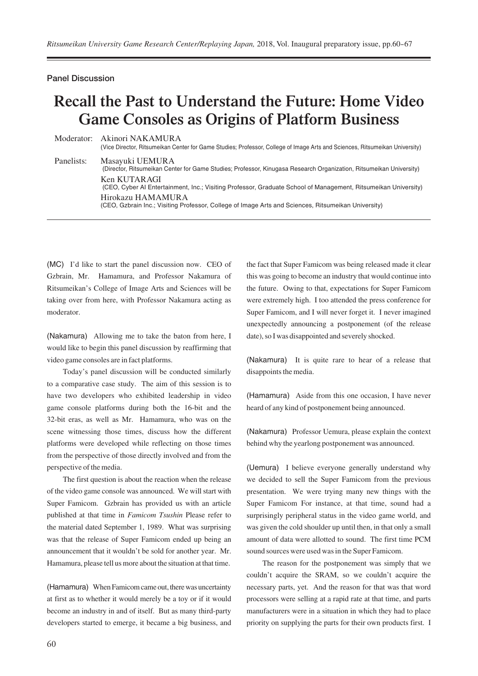## Panel Discussion

## **Recall the Past to Understand the Future: Home Video Game Consoles as Origins of Platform Business**

Moderator: Akinori NAKAMURA (Vice Director, Ritsumeikan Center for Game Studies; Professor, College of Image Arts and Sciences, Ritsumeikan University) Panelists: Masayuki UEMURA (Director, Ritsumeikan Center for Game Studies; Professor, Kinugasa Research Organization, Ritsumeikan University) Ken KUTARAGI (CEO, Cyber AI Entertainment, Inc.; Visiting Professor, Graduate School of Management, Ritsumeikan University) Hirokazu HAMAMURA (CEO, Gzbrain Inc.; Visiting Professor, College of Image Arts and Sciences, Ritsumeikan University)

(MC) I'd like to start the panel discussion now. CEO of Gzbrain, Mr. Hamamura, and Professor Nakamura of Ritsumeikan's College of Image Arts and Sciences will be taking over from here, with Professor Nakamura acting as moderator.

(Nakamura) Allowing me to take the baton from here, I would like to begin this panel discussion by reaffirming that video game consoles are in fact platforms.

Today's panel discussion will be conducted similarly to a comparative case study. The aim of this session is to have two developers who exhibited leadership in video game console platforms during both the 16-bit and the 32-bit eras, as well as Mr. Hamamura, who was on the scene witnessing those times, discuss how the different platforms were developed while reflecting on those times from the perspective of those directly involved and from the perspective of the media.

The first question is about the reaction when the release of the video game console was announced. We will start with Super Famicom. Gzbrain has provided us with an article published at that time in *Famicom Tsushin* Please refer to the material dated September 1, 1989. What was surprising was that the release of Super Famicom ended up being an announcement that it wouldn't be sold for another year. Mr. Hamamura, please tell us more about the situation at that time.

(Hamamura) When Famicom came out, there was uncertainty at first as to whether it would merely be a toy or if it would become an industry in and of itself. But as many third-party developers started to emerge, it became a big business, and the fact that Super Famicom was being released made it clear this was going to become an industry that would continue into the future. Owing to that, expectations for Super Famicom were extremely high. I too attended the press conference for Super Famicom, and I will never forget it. I never imagined unexpectedly announcing a postponement (of the release date), so I was disappointed and severely shocked.

(Nakamura) It is quite rare to hear of a release that disappoints the media.

(Hamamura) Aside from this one occasion, I have never heard of any kind of postponement being announced.

(Nakamura) Professor Uemura, please explain the context behind why the yearlong postponement was announced.

(Uemura) I believe everyone generally understand why we decided to sell the Super Famicom from the previous presentation. We were trying many new things with the Super Famicom For instance, at that time, sound had a surprisingly peripheral status in the video game world, and was given the cold shoulder up until then, in that only a small amount of data were allotted to sound. The first time PCM sound sources were used was in the Super Famicom.

The reason for the postponement was simply that we couldn't acquire the SRAM, so we couldn't acquire the necessary parts, yet. And the reason for that was that word processors were selling at a rapid rate at that time, and parts manufacturers were in a situation in which they had to place priority on supplying the parts for their own products first. I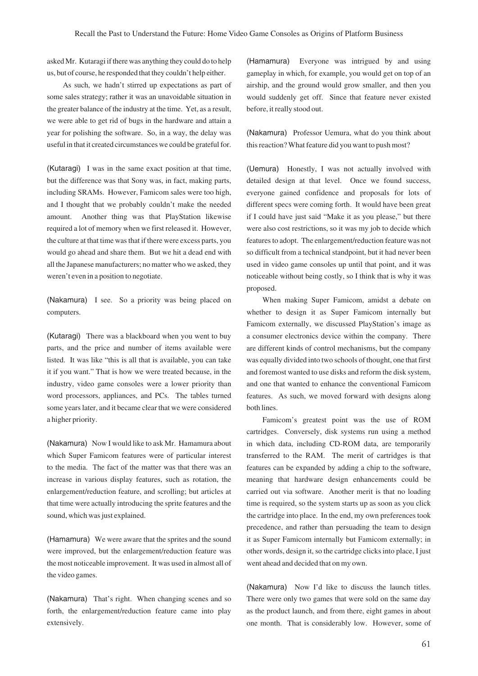asked Mr. Kutaragi if there was anything they could do to help us, but of course, he responded that they couldn't help either.

As such, we hadn't stirred up expectations as part of some sales strategy; rather it was an unavoidable situation in the greater balance of the industry at the time. Yet, as a result, we were able to get rid of bugs in the hardware and attain a year for polishing the software. So, in a way, the delay was useful in that it created circumstances we could be grateful for.

(Kutaragi) I was in the same exact position at that time, but the difference was that Sony was, in fact, making parts, including SRAMs. However, Famicom sales were too high, and I thought that we probably couldn't make the needed amount. Another thing was that PlayStation likewise required a lot of memory when we first released it. However, the culture at that time was that if there were excess parts, you would go ahead and share them. But we hit a dead end with all the Japanese manufacturers; no matter who we asked, they weren't even in a position to negotiate.

(Nakamura) I see. So a priority was being placed on computers.

(Kutaragi) There was a blackboard when you went to buy parts, and the price and number of items available were listed. It was like "this is all that is available, you can take it if you want." That is how we were treated because, in the industry, video game consoles were a lower priority than word processors, appliances, and PCs. The tables turned some years later, and it became clear that we were considered a higher priority.

(Nakamura) Now I would like to ask Mr. Hamamura about which Super Famicom features were of particular interest to the media. The fact of the matter was that there was an increase in various display features, such as rotation, the enlargement/reduction feature, and scrolling; but articles at that time were actually introducing the sprite features and the sound, which was just explained.

(Hamamura) We were aware that the sprites and the sound were improved, but the enlargement/reduction feature was the most noticeable improvement. It was used in almost all of the video games.

(Nakamura) That's right. When changing scenes and so forth, the enlargement/reduction feature came into play extensively.

(Hamamura) Everyone was intrigued by and using gameplay in which, for example, you would get on top of an airship, and the ground would grow smaller, and then you would suddenly get off. Since that feature never existed before, it really stood out.

(Nakamura) Professor Uemura, what do you think about this reaction? What feature did you want to push most?

(Uemura) Honestly, I was not actually involved with detailed design at that level. Once we found success, everyone gained confidence and proposals for lots of different specs were coming forth. It would have been great if I could have just said "Make it as you please," but there were also cost restrictions, so it was my job to decide which features to adopt. The enlargement/reduction feature was not so difficult from a technical standpoint, but it had never been used in video game consoles up until that point, and it was noticeable without being costly, so I think that is why it was proposed.

When making Super Famicom, amidst a debate on whether to design it as Super Famicom internally but Famicom externally, we discussed PlayStation's image as a consumer electronics device within the company. There are different kinds of control mechanisms, but the company was equally divided into two schools of thought, one that first and foremost wanted to use disks and reform the disk system, and one that wanted to enhance the conventional Famicom features. As such, we moved forward with designs along both lines.

Famicom's greatest point was the use of ROM cartridges. Conversely, disk systems run using a method in which data, including CD-ROM data, are temporarily transferred to the RAM. The merit of cartridges is that features can be expanded by adding a chip to the software, meaning that hardware design enhancements could be carried out via software. Another merit is that no loading time is required, so the system starts up as soon as you click the cartridge into place. In the end, my own preferences took precedence, and rather than persuading the team to design it as Super Famicom internally but Famicom externally; in other words, design it, so the cartridge clicks into place, I just went ahead and decided that on my own.

(Nakamura) Now I'd like to discuss the launch titles. There were only two games that were sold on the same day as the product launch, and from there, eight games in about one month. That is considerably low. However, some of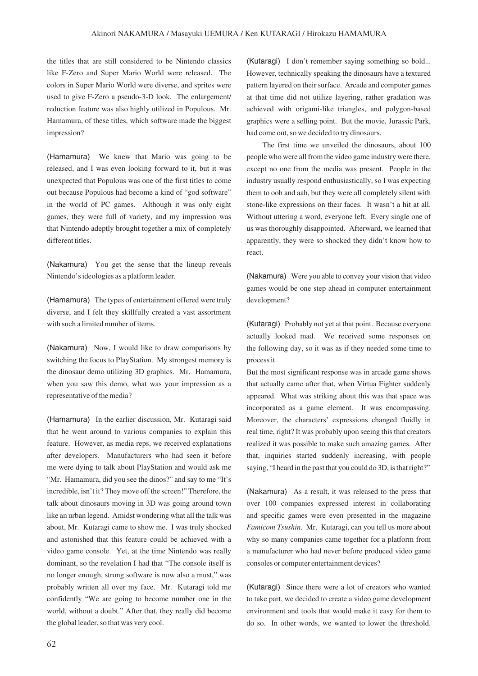the titles that are still considered to be Nintendo classics like F-Zero and Super Mario World were released. The colors in Super Mario World were diverse, and sprites were used to give F-Zero a pseudo-3-D look. The enlargement/ reduction feature was also highly utilized in Populous. Mr. Hamamura, of these titles, which software made the biggest impression?

(Hamamura) We knew that Mario was going to be released, and I was even looking forward to it, but it was unexpected that Populous was one of the first titles to come out because Populous had become a kind of "god software" in the world of PC games. Although it was only eight games, they were full of variety, and my impression was that Nintendo adeptly brought together a mix of completely different titles.

(Nakamura) You get the sense that the lineup reveals Nintendo's ideologies as a platform leader.

(Hamamura) The types of entertainment offered were truly diverse, and I felt they skillfully created a vast assortment with such a limited number of items.

(Nakamura) Now, I would like to draw comparisons by switching the focus to PlayStation. My strongest memory is the dinosaur demo utilizing 3D graphics. Mr. Hamamura, when you saw this demo, what was your impression as a representative of the media?

(Hamamura) In the earlier discussion, Mr. Kutaragi said that he went around to various companies to explain this feature. However, as media reps, we received explanations after developers. Manufacturers who had seen it before me were dying to talk about PlayStation and would ask me "Mr. Hamamura, did you see the dinos?" and say to me "It's incredible, isn't it? They move off the screen!" Therefore, the talk about dinosaurs moving in 3D was going around town like an urban legend. Amidst wondering what all the talk was about, Mr. Kutaragi came to show me. I was truly shocked and astonished that this feature could be achieved with a video game console. Yet, at the time Nintendo was really dominant, so the revelation I had that "The console itself is no longer enough, strong software is now also a must," was probably written all over my face. Mr. Kutaragi told me confidently "We are going to become number one in the world, without a doubt." After that, they really did become the global leader, so that was very cool.

(Kutaragi) I don't remember saying something so bold... However, technically speaking the dinosaurs have a textured pattern layered on their surface. Arcade and computer games at that time did not utilize layering, rather gradation was achieved with origami-like triangles, and polygon-based graphics were a selling point. But the movie, Jurassic Park, had come out, so we decided to try dinosaurs.

The first time we unveiled the dinosaurs, about 100 people who were all from the video game industry were there, except no one from the media was present. People in the industry usually respond enthusiastically, so I was expecting them to ooh and aah, but they were all completely silent with stone-like expressions on their faces. It wasn't a hit at all. Without uttering a word, everyone left. Every single one of us was thoroughly disappointed. Afterward, we learned that apparently, they were so shocked they didn't know how to react.

(Nakamura) Were you able to convey your vision that video games would be one step ahead in computer entertainment development?

(Kutaragi) Probably not yet at that point. Because everyone actually looked mad. We received some responses on the following day, so it was as if they needed some time to process it.

But the most significant response was in arcade game shows that actually came after that, when Virtua Fighter suddenly appeared. What was striking about this was that space was incorporated as a game element. It was encompassing. Moreover, the characters' expressions changed fluidly in real time, right? It was probably upon seeing this that creators realized it was possible to make such amazing games. After that, inquiries started suddenly increasing, with people saying, "I heard in the past that you could do 3D, is that right?"

(Nakamura) As a result, it was released to the press that over 100 companies expressed interest in collaborating and specific games were even presented in the magazine *Famicom Tsushin*. Mr. Kutaragi, can you tell us more about why so many companies came together for a platform from a manufacturer who had never before produced video game consoles or computer entertainment devices?

(Kutaragi) Since there were a lot of creators who wanted to take part, we decided to create a video game development environment and tools that would make it easy for them to do so. In other words, we wanted to lower the threshold.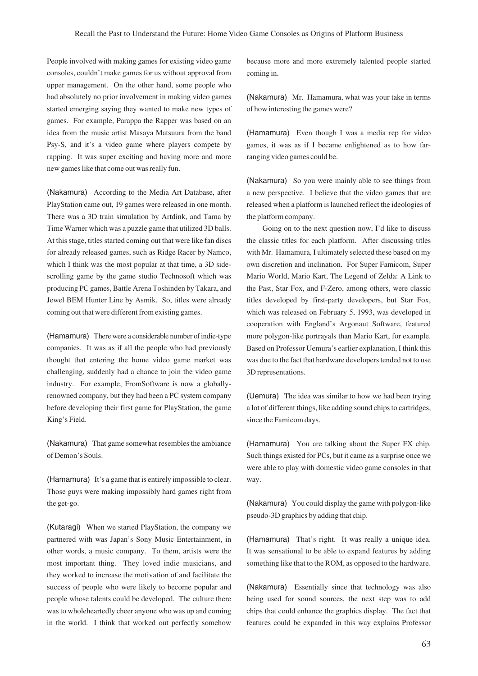People involved with making games for existing video game consoles, couldn't make games for us without approval from upper management. On the other hand, some people who had absolutely no prior involvement in making video games started emerging saying they wanted to make new types of games. For example, Parappa the Rapper was based on an idea from the music artist Masaya Matsuura from the band Psy-S, and it's a video game where players compete by rapping. It was super exciting and having more and more new games like that come out was really fun.

(Nakamura) According to the Media Art Database, after PlayStation came out, 19 games were released in one month. There was a 3D train simulation by Artdink, and Tama by Time Warner which was a puzzle game that utilized 3D balls. At this stage, titles started coming out that were like fan discs for already released games, such as Ridge Racer by Namco, which I think was the most popular at that time, a 3D sidescrolling game by the game studio Technosoft which was producing PC games, Battle Arena Toshinden by Takara, and Jewel BEM Hunter Line by Asmik. So, titles were already coming out that were different from existing games.

(Hamamura) There were a considerable number of indie-type companies. It was as if all the people who had previously thought that entering the home video game market was challenging, suddenly had a chance to join the video game industry. For example, FromSoftware is now a globallyrenowned company, but they had been a PC system company before developing their first game for PlayStation, the game King's Field.

(Nakamura) That game somewhat resembles the ambiance of Demon's Souls.

(Hamamura) It's a game that is entirely impossible to clear. Those guys were making impossibly hard games right from the get-go.

(Kutaragi) When we started PlayStation, the company we partnered with was Japan's Sony Music Entertainment, in other words, a music company. To them, artists were the most important thing. They loved indie musicians, and they worked to increase the motivation of and facilitate the success of people who were likely to become popular and people whose talents could be developed. The culture there was to wholeheartedly cheer anyone who was up and coming in the world. I think that worked out perfectly somehow

because more and more extremely talented people started coming in.

(Nakamura) Mr. Hamamura, what was your take in terms of how interesting the games were?

(Hamamura) Even though I was a media rep for video games, it was as if I became enlightened as to how farranging video games could be.

(Nakamura) So you were mainly able to see things from a new perspective. I believe that the video games that are released when a platform is launched reflect the ideologies of the platform company.

Going on to the next question now, I'd like to discuss the classic titles for each platform. After discussing titles with Mr. Hamamura, I ultimately selected these based on my own discretion and inclination. For Super Famicom, Super Mario World, Mario Kart, The Legend of Zelda: A Link to the Past, Star Fox, and F-Zero, among others, were classic titles developed by first-party developers, but Star Fox, which was released on February 5, 1993, was developed in cooperation with England's Argonaut Software, featured more polygon-like portrayals than Mario Kart, for example. Based on Professor Uemura's earlier explanation, I think this was due to the fact that hardware developers tended not to use 3D representations.

(Uemura) The idea was similar to how we had been trying a lot of different things, like adding sound chips to cartridges, since the Famicom days.

(Hamamura) You are talking about the Super FX chip. Such things existed for PCs, but it came as a surprise once we were able to play with domestic video game consoles in that way.

(Nakamura) You could display the game with polygon-like pseudo-3D graphics by adding that chip.

(Hamamura) That's right. It was really a unique idea. It was sensational to be able to expand features by adding something like that to the ROM, as opposed to the hardware.

(Nakamura) Essentially since that technology was also being used for sound sources, the next step was to add chips that could enhance the graphics display. The fact that features could be expanded in this way explains Professor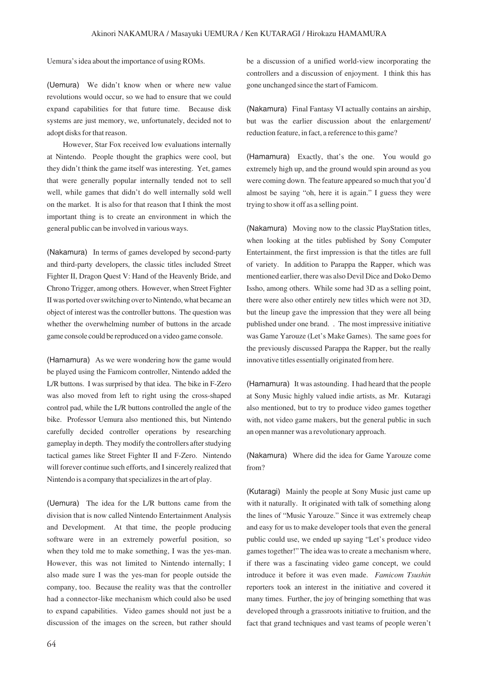Uemura's idea about the importance of using ROMs.

(Uemura) We didn't know when or where new value revolutions would occur, so we had to ensure that we could expand capabilities for that future time. Because disk systems are just memory, we, unfortunately, decided not to adopt disks for that reason.

However, Star Fox received low evaluations internally at Nintendo. People thought the graphics were cool, but they didn't think the game itself was interesting. Yet, games that were generally popular internally tended not to sell well, while games that didn't do well internally sold well on the market. It is also for that reason that I think the most important thing is to create an environment in which the general public can be involved in various ways.

(Nakamura) In terms of games developed by second-party and third-party developers, the classic titles included Street Fighter II, Dragon Quest V: Hand of the Heavenly Bride, and Chrono Trigger, among others. However, when Street Fighter II was ported over switching over to Nintendo, what became an object of interest was the controller buttons. The question was whether the overwhelming number of buttons in the arcade game console could be reproduced on a video game console.

(Hamamura) As we were wondering how the game would be played using the Famicom controller, Nintendo added the L/R buttons. I was surprised by that idea. The bike in F-Zero was also moved from left to right using the cross-shaped control pad, while the L/R buttons controlled the angle of the bike. Professor Uemura also mentioned this, but Nintendo carefully decided controller operations by researching gameplay in depth. They modify the controllers after studying tactical games like Street Fighter II and F-Zero. Nintendo will forever continue such efforts, and I sincerely realized that Nintendo is a company that specializes in the art of play.

(Uemura) The idea for the L/R buttons came from the division that is now called Nintendo Entertainment Analysis and Development. At that time, the people producing software were in an extremely powerful position, so when they told me to make something, I was the yes-man. However, this was not limited to Nintendo internally; I also made sure I was the yes-man for people outside the company, too. Because the reality was that the controller had a connector-like mechanism which could also be used to expand capabilities. Video games should not just be a discussion of the images on the screen, but rather should

be a discussion of a unified world-view incorporating the controllers and a discussion of enjoyment. I think this has gone unchanged since the start of Famicom.

(Nakamura) Final Fantasy VI actually contains an airship, but was the earlier discussion about the enlargement/ reduction feature, in fact, a reference to this game?

(Hamamura) Exactly, that's the one. You would go extremely high up, and the ground would spin around as you were coming down. The feature appeared so much that you'd almost be saying "oh, here it is again." I guess they were trying to show it off as a selling point.

(Nakamura) Moving now to the classic PlayStation titles, when looking at the titles published by Sony Computer Entertainment, the first impression is that the titles are full of variety. In addition to Parappa the Rapper, which was mentioned earlier, there was also Devil Dice and Doko Demo Issho, among others. While some had 3D as a selling point, there were also other entirely new titles which were not 3D, but the lineup gave the impression that they were all being published under one brand. . The most impressive initiative was Game Yarouze (Let's Make Games). The same goes for the previously discussed Parappa the Rapper, but the really innovative titles essentially originated from here.

(Hamamura) It was astounding. I had heard that the people at Sony Music highly valued indie artists, as Mr. Kutaragi also mentioned, but to try to produce video games together with, not video game makers, but the general public in such an open manner was a revolutionary approach.

(Nakamura) Where did the idea for Game Yarouze come from?

(Kutaragi) Mainly the people at Sony Music just came up with it naturally. It originated with talk of something along the lines of "Music Yarouze." Since it was extremely cheap and easy for us to make developer tools that even the general public could use, we ended up saying "Let's produce video games together!" The idea was to create a mechanism where, if there was a fascinating video game concept, we could introduce it before it was even made. *Famicom Tsushin* reporters took an interest in the initiative and covered it many times. Further, the joy of bringing something that was developed through a grassroots initiative to fruition, and the fact that grand techniques and vast teams of people weren't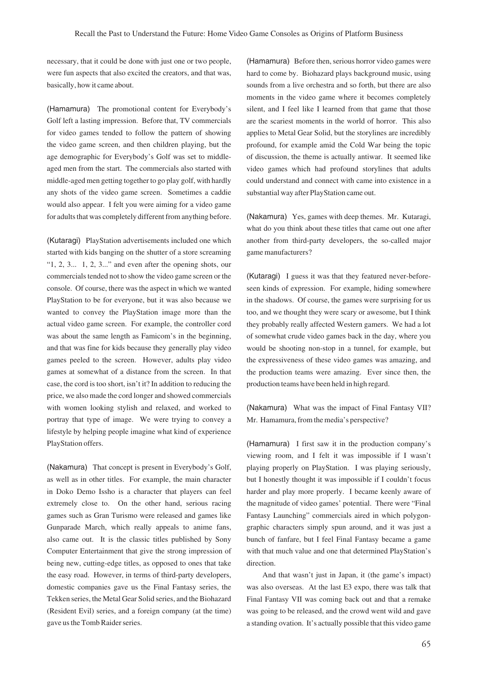necessary, that it could be done with just one or two people, were fun aspects that also excited the creators, and that was, basically, how it came about.

(Hamamura) The promotional content for Everybody's Golf left a lasting impression. Before that, TV commercials for video games tended to follow the pattern of showing the video game screen, and then children playing, but the age demographic for Everybody's Golf was set to middleaged men from the start. The commercials also started with middle-aged men getting together to go play golf, with hardly any shots of the video game screen. Sometimes a caddie would also appear. I felt you were aiming for a video game for adults that was completely different from anything before.

(Kutaragi) PlayStation advertisements included one which started with kids banging on the shutter of a store screaming " $1, 2, 3...$  1, 2, 3..." and even after the opening shots, our commercials tended not to show the video game screen or the console. Of course, there was the aspect in which we wanted PlayStation to be for everyone, but it was also because we wanted to convey the PlayStation image more than the actual video game screen. For example, the controller cord was about the same length as Famicom's in the beginning, and that was fine for kids because they generally play video games peeled to the screen. However, adults play video games at somewhat of a distance from the screen. In that case, the cord is too short, isn't it? In addition to reducing the price, we also made the cord longer and showed commercials with women looking stylish and relaxed, and worked to portray that type of image. We were trying to convey a lifestyle by helping people imagine what kind of experience PlayStation offers.

(Nakamura) That concept is present in Everybody's Golf, as well as in other titles. For example, the main character in Doko Demo Issho is a character that players can feel extremely close to. On the other hand, serious racing games such as Gran Turismo were released and games like Gunparade March, which really appeals to anime fans, also came out. It is the classic titles published by Sony Computer Entertainment that give the strong impression of being new, cutting-edge titles, as opposed to ones that take the easy road. However, in terms of third-party developers, domestic companies gave us the Final Fantasy series, the Tekken series, the Metal Gear Solid series, and the Biohazard (Resident Evil) series, and a foreign company (at the time) gave us the Tomb Raider series.

(Hamamura) Before then, serious horror video games were hard to come by. Biohazard plays background music, using sounds from a live orchestra and so forth, but there are also moments in the video game where it becomes completely silent, and I feel like I learned from that game that those are the scariest moments in the world of horror. This also applies to Metal Gear Solid, but the storylines are incredibly profound, for example amid the Cold War being the topic of discussion, the theme is actually antiwar. It seemed like video games which had profound storylines that adults could understand and connect with came into existence in a substantial way after PlayStation came out.

(Nakamura) Yes, games with deep themes. Mr. Kutaragi, what do you think about these titles that came out one after another from third-party developers, the so-called major game manufacturers?

(Kutaragi) I guess it was that they featured never-beforeseen kinds of expression. For example, hiding somewhere in the shadows. Of course, the games were surprising for us too, and we thought they were scary or awesome, but I think they probably really affected Western gamers. We had a lot of somewhat crude video games back in the day, where you would be shooting non-stop in a tunnel, for example, but the expressiveness of these video games was amazing, and the production teams were amazing. Ever since then, the production teams have been held in high regard.

(Nakamura) What was the impact of Final Fantasy VII? Mr. Hamamura, from the media's perspective?

(Hamamura) I first saw it in the production company's viewing room, and I felt it was impossible if I wasn't playing properly on PlayStation. I was playing seriously, but I honestly thought it was impossible if I couldn't focus harder and play more properly. I became keenly aware of the magnitude of video games' potential. There were "Final Fantasy Launching" commercials aired in which polygongraphic characters simply spun around, and it was just a bunch of fanfare, but I feel Final Fantasy became a game with that much value and one that determined PlayStation's direction.

And that wasn't just in Japan, it (the game's impact) was also overseas. At the last E3 expo, there was talk that Final Fantasy VII was coming back out and that a remake was going to be released, and the crowd went wild and gave a standing ovation. It's actually possible that this video game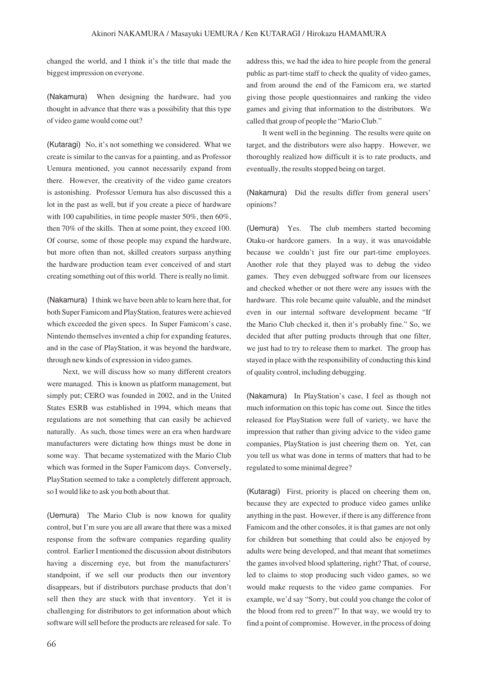changed the world, and I think it's the title that made the biggest impression on everyone.

(Nakamura) When designing the hardware, had you thought in advance that there was a possibility that this type of video game would come out?

(Kutaragi) No, it's not something we considered. What we create is similar to the canvas for a painting, and as Professor Uemura mentioned, you cannot necessarily expand from there. However, the creativity of the video game creators is astonishing. Professor Uemura has also discussed this a lot in the past as well, but if you create a piece of hardware with 100 capabilities, in time people master 50%, then 60%, then 70% of the skills. Then at some point, they exceed 100. Of course, some of those people may expand the hardware, but more often than not, skilled creators surpass anything the hardware production team ever conceived of and start creating something out of this world. There is really no limit.

(Nakamura) I think we have been able to learn here that, for both Super Famicom and PlayStation, features were achieved which exceeded the given specs. In Super Famicom's case, Nintendo themselves invented a chip for expanding features, and in the case of PlayStation, it was beyond the hardware, through new kinds of expression in video games.

Next, we will discuss how so many different creators were managed. This is known as platform management, but simply put; CERO was founded in 2002, and in the United States ESRB was established in 1994, which means that regulations are not something that can easily be achieved naturally. As such, those times were an era when hardware manufacturers were dictating how things must be done in some way. That became systematized with the Mario Club which was formed in the Super Famicom days. Conversely, PlayStation seemed to take a completely different approach, so I would like to ask you both about that.

(Uemura) The Mario Club is now known for quality control, but I'm sure you are all aware that there was a mixed response from the software companies regarding quality control. Earlier I mentioned the discussion about distributors having a discerning eye, but from the manufacturers' standpoint, if we sell our products then our inventory disappears, but if distributors purchase products that don't sell then they are stuck with that inventory. Yet it is challenging for distributors to get information about which software will sell before the products are released for sale. To

address this, we had the idea to hire people from the general public as part-time staff to check the quality of video games, and from around the end of the Famicom era, we started giving those people questionnaires and ranking the video games and giving that information to the distributors. We called that group of people the "Mario Club."

It went well in the beginning. The results were quite on target, and the distributors were also happy. However, we thoroughly realized how difficult it is to rate products, and eventually, the results stopped being on target.

(Nakamura) Did the results differ from general users' opinions?

(Uemura) Yes. The club members started becoming Otaku-or hardcore gamers. In a way, it was unavoidable because we couldn't just fire our part-time employees. Another role that they played was to debug the video games. They even debugged software from our licensees and checked whether or not there were any issues with the hardware. This role became quite valuable, and the mindset even in our internal software development became "If the Mario Club checked it, then it's probably fine." So, we decided that after putting products through that one filter, we just had to try to release them to market. The group has stayed in place with the responsibility of conducting this kind of quality control, including debugging.

(Nakamura) In PlayStation's case, I feel as though not much information on this topic has come out. Since the titles released for PlayStation were full of variety, we have the impression that rather than giving advice to the video game companies, PlayStation is just cheering them on. Yet, can you tell us what was done in terms of matters that had to be regulated to some minimal degree?

(Kutaragi) First, priority is placed on cheering them on, because they are expected to produce video games unlike anything in the past. However, if there is any difference from Famicom and the other consoles, it is that games are not only for children but something that could also be enjoyed by adults were being developed, and that meant that sometimes the games involved blood splattering, right? That, of course, led to claims to stop producing such video games, so we would make requests to the video game companies. For example, we'd say "Sorry, but could you change the color of the blood from red to green?" In that way, we would try to find a point of compromise. However, in the process of doing